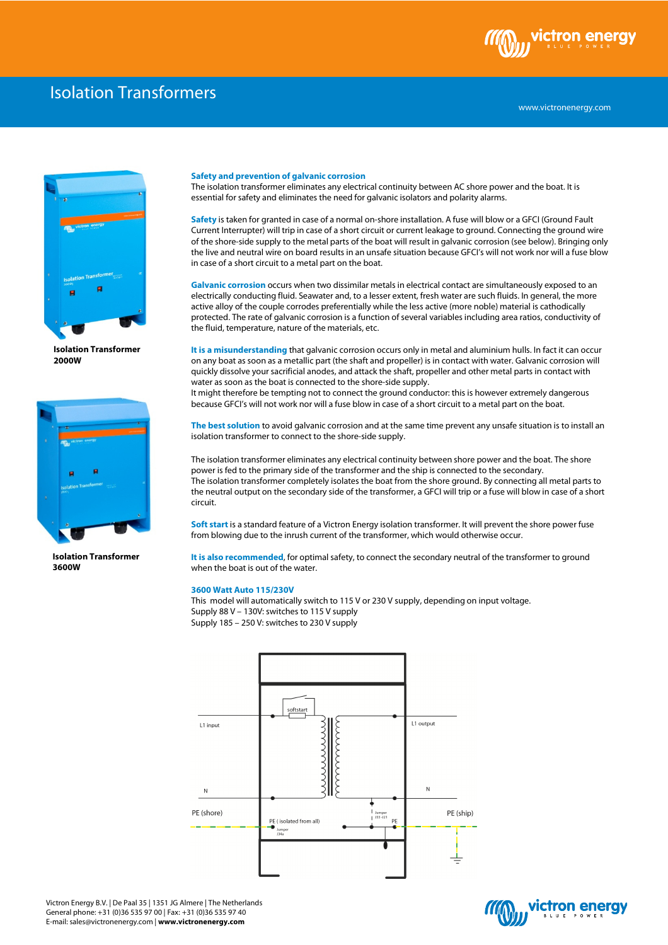

## Isolation Transformers



**Isolation Transformer 2000W** 



**Isolation Transformer 3600W**

## **Safety and prevention of galvanic corrosion**

The isolation transformer eliminates any electrical continuity between AC shore power and the boat. It is essential for safety and eliminates the need for galvanic isolators and polarity alarms.

**Safety** is taken for granted in case of a normal on-shore installation. A fuse will blow or a GFCI (Ground Fault Current Interrupter) will trip in case of a short circuit or current leakage to ground. Connecting the ground wire of the shore-side supply to the metal parts of the boat will result in galvanic corrosion (see below). Bringing only the live and neutral wire on board results in an unsafe situation because GFCI's will not work nor will a fuse blow in case of a short circuit to a metal part on the boat.

**Galvanic corrosion** occurs when two dissimilar metals in electrical contact are simultaneously exposed to an electrically conducting fluid. Seawater and, to a lesser extent, fresh water are such fluids. In general, the more active alloy of the couple corrodes preferentially while the less active (more noble) material is cathodically protected. The rate of galvanic corrosion is a function of several variables including area ratios, conductivity of the fluid, temperature, nature of the materials, etc.

**It is a misunderstanding** that galvanic corrosion occurs only in metal and aluminium hulls. In fact it can occur on any boat as soon as a metallic part (the shaft and propeller) is in contact with water. Galvanic corrosion will quickly dissolve your sacrificial anodes, and attack the shaft, propeller and other metal parts in contact with water as soon as the boat is connected to the shore-side supply.

It might therefore be tempting not to connect the ground conductor: this is however extremely dangerous because GFCI's will not work nor will a fuse blow in case of a short circuit to a metal part on the boat.

**The best solution** to avoid galvanic corrosion and at the same time prevent any unsafe situation is to install an isolation transformer to connect to the shore-side supply.

The isolation transformer eliminates any electrical continuity between shore power and the boat. The shore power is fed to the primary side of the transformer and the ship is connected to the secondary. The isolation transformer completely isolates the boat from the shore ground. By connecting all metal parts to the neutral output on the secondary side of the transformer, a GFCI will trip or a fuse will blow in case of a short circuit.

**Soft start** is a standard feature of a Victron Energy isolation transformer. It will prevent the shore power fuse from blowing due to the inrush current of the transformer, which would otherwise occur.

**It is also recommended**, for optimal safety, to connect the secondary neutral of the transformer to ground when the boat is out of the water.

## **3600 Watt Auto 115/230V**

This model will automatically switch to 115 V or 230 V supply, depending on input voltage. Supply 88 V – 130V: switches to 115 V supply Supply 185 – 250 V: switches to 230 V supply